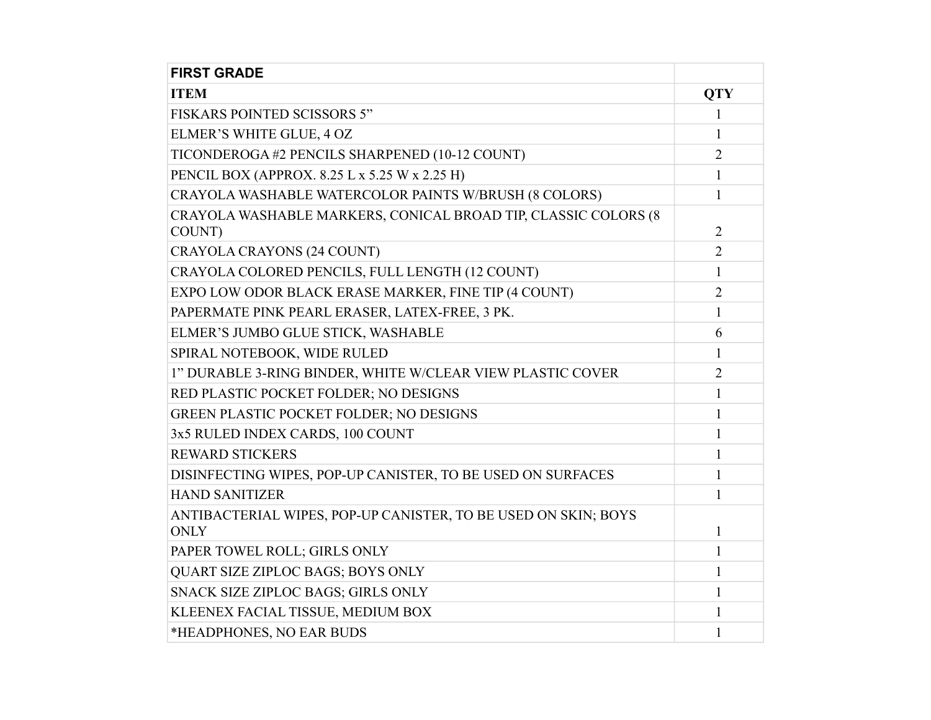| <b>FIRST GRADE</b>                                                            |                |
|-------------------------------------------------------------------------------|----------------|
| <b>ITEM</b>                                                                   | <b>QTY</b>     |
| <b>FISKARS POINTED SCISSORS 5"</b>                                            | 1              |
| ELMER'S WHITE GLUE, 4 OZ                                                      | $\mathbf{1}$   |
| TICONDEROGA #2 PENCILS SHARPENED (10-12 COUNT)                                | $\overline{2}$ |
| PENCIL BOX (APPROX. 8.25 L x 5.25 W x 2.25 H)                                 | 1              |
| CRAYOLA WASHABLE WATERCOLOR PAINTS W/BRUSH (8 COLORS)                         | 1              |
| CRAYOLA WASHABLE MARKERS, CONICAL BROAD TIP, CLASSIC COLORS (8<br>COUNT)      | $\overline{2}$ |
| <b>CRAYOLA CRAYONS (24 COUNT)</b>                                             | $\overline{2}$ |
| CRAYOLA COLORED PENCILS, FULL LENGTH (12 COUNT)                               | 1              |
| EXPO LOW ODOR BLACK ERASE MARKER, FINE TIP (4 COUNT)                          | $\overline{2}$ |
| PAPERMATE PINK PEARL ERASER, LATEX-FREE, 3 PK.                                | $\mathbf{1}$   |
| ELMER'S JUMBO GLUE STICK, WASHABLE                                            | 6              |
| SPIRAL NOTEBOOK, WIDE RULED                                                   | 1              |
| 1" DURABLE 3-RING BINDER, WHITE W/CLEAR VIEW PLASTIC COVER                    | 2              |
| RED PLASTIC POCKET FOLDER; NO DESIGNS                                         | 1              |
| <b>GREEN PLASTIC POCKET FOLDER; NO DESIGNS</b>                                | 1              |
| 3x5 RULED INDEX CARDS, 100 COUNT                                              | 1              |
| <b>REWARD STICKERS</b>                                                        | 1              |
| DISINFECTING WIPES, POP-UP CANISTER, TO BE USED ON SURFACES                   | 1              |
| <b>HAND SANITIZER</b>                                                         | 1              |
| ANTIBACTERIAL WIPES, POP-UP CANISTER, TO BE USED ON SKIN; BOYS<br><b>ONLY</b> | 1              |
| PAPER TOWEL ROLL; GIRLS ONLY                                                  | 1              |
| QUART SIZE ZIPLOC BAGS; BOYS ONLY                                             | 1              |
| SNACK SIZE ZIPLOC BAGS; GIRLS ONLY                                            | 1              |
| KLEENEX FACIAL TISSUE, MEDIUM BOX                                             | 1              |
| *HEADPHONES, NO EAR BUDS                                                      | 1              |